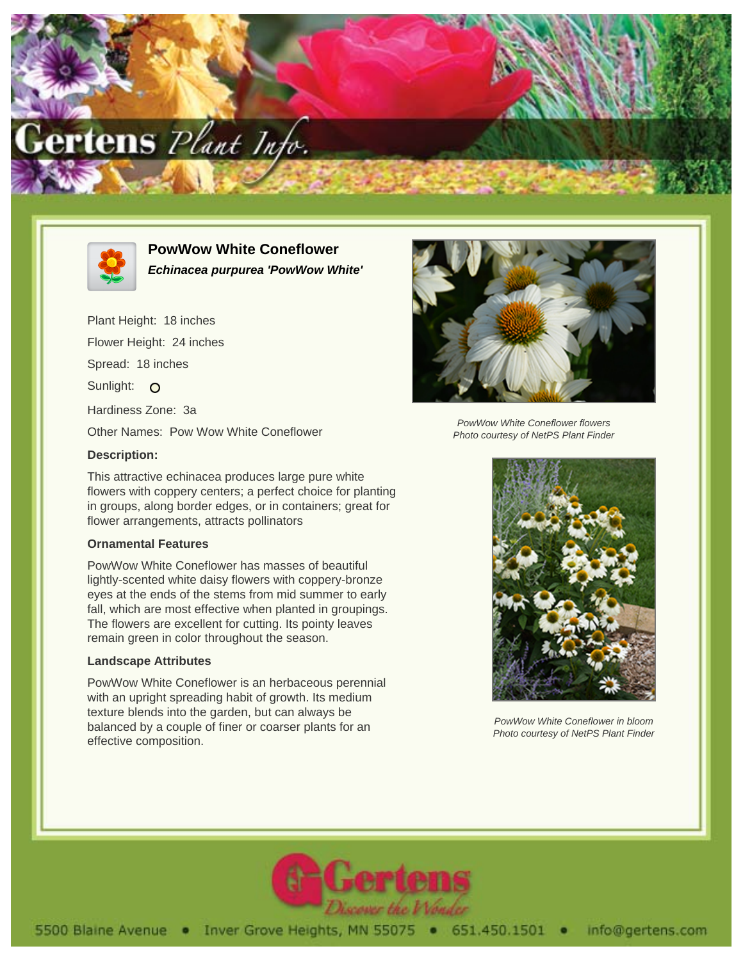



# **PowWow White Coneflower Echinacea purpurea 'PowWow White'**

Plant Height: 18 inches Flower Height: 24 inches Spread: 18 inches Sunlight: O Hardiness Zone: 3a Other Names: Pow Wow White Coneflower

## **Description:**

This attractive echinacea produces large pure white flowers with coppery centers; a perfect choice for planting in groups, along border edges, or in containers; great for flower arrangements, attracts pollinators

#### **Ornamental Features**

PowWow White Coneflower has masses of beautiful lightly-scented white daisy flowers with coppery-bronze eyes at the ends of the stems from mid summer to early fall, which are most effective when planted in groupings. The flowers are excellent for cutting. Its pointy leaves remain green in color throughout the season.

### **Landscape Attributes**

PowWow White Coneflower is an herbaceous perennial with an upright spreading habit of growth. Its medium texture blends into the garden, but can always be balanced by a couple of finer or coarser plants for an effective composition.



PowWow White Coneflower flowers Photo courtesy of NetPS Plant Finder



PowWow White Coneflower in bloom Photo courtesy of NetPS Plant Finder